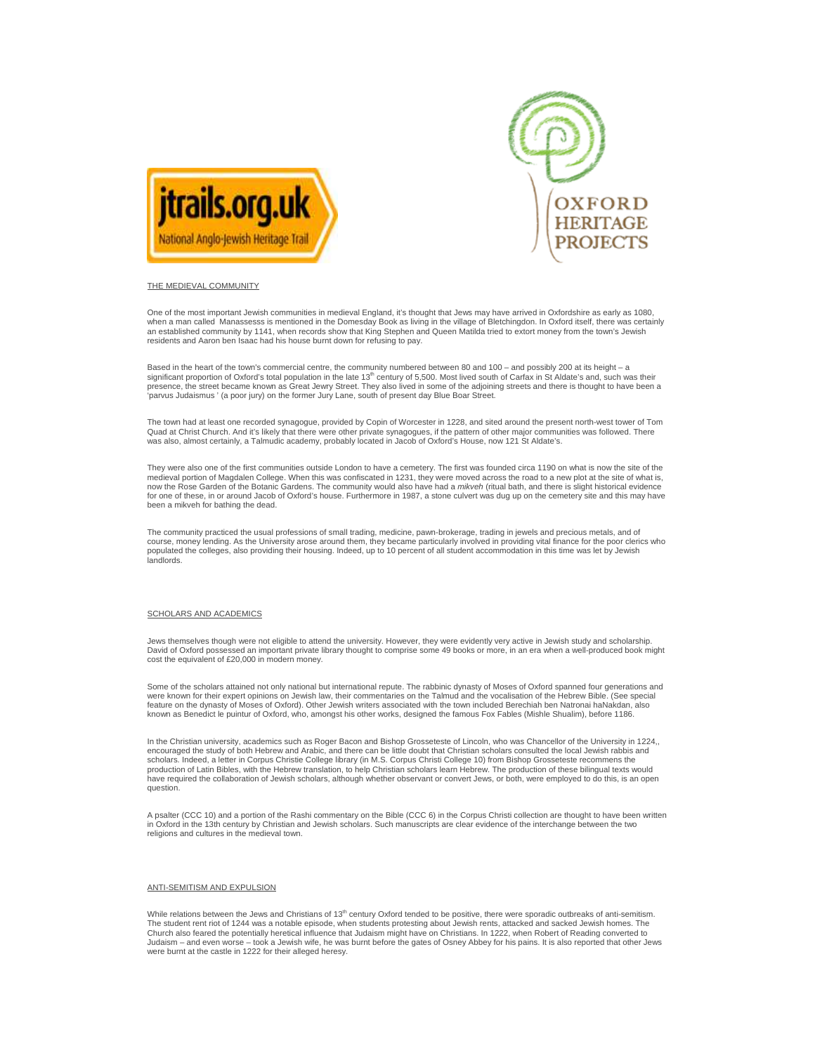



## THE MEDIEVAL COMMUNITY

One of the most important Jewish communities in medieval England, it's thought that Jews may have arrived in Oxfordshire as early as 1080, when a man called Manassesss is mentioned in the Domesday Book as living in the village of Bletchingdon. In Oxford itself, there was certainly<br>an established community by 1141, when records show that King Stephen and Queen residents and Aaron ben Isaac had his house burnt down for refusing to pay.

Based in the heart of the town's commercial centre, the community numbered between 80 and 100 – and possibly 200 at its height – a significant proportion of Oxford's total population in the late 13th century of 5,500. Most lived south of Carfax in St Aldate's and, such was their presence, the street became known as Great Jewry Street. They also lived in some of the adjoining streets and there is thought to have been a 'parvus Judaismus ' (a poor jury) on the former Jury Lane, south of present day Blue Boar Street.

The town had at least one recorded synagogue, provided by Copin of Worcester in 1228, and sited around the present north-west tower of Tom<br>Quad at Christ Church. And it's likely that there were other private synagogues, if was also, almost certainly, a Talmudic academy, probably located in Jacob of Oxford's House, now 121 St Aldate's.

They were also one of the first communities outside London to have a cemetery. The first was founded circa 1190 on what is now the site of the medieval portion of Magdalen College. When this was confiscated in 1231, they were moved across the road to a new plot at the site of what is, now the Rose Garden of the Botanic Gardens. The community would also have had a *mikveh* (ritual bath, and there is slight historical evidence<br>for one of these, in or around Jacob of Oxford's house. Furthermore in 1987, a been a mikveh for bathing the dead.

The community practiced the usual professions of small trading, medicine, pawn-brokerage, trading in jewels and precious metals, and of course, money lending. As the University arose around them, they became particularly involved in providing vital finance for the poor clerics who<br>populated the colleges, also providing their housing. Indeed, up to 10 perce landlords.

### SCHOLARS AND ACADEMICS

Jews themselves though were not eligible to attend the university. However, they were evidently very active in Jewish study and scholarship. David of Oxford possessed an important private library thought to comprise some 49 books or more, in an era when a well-produced book might cost the equivalent of £20,000 in modern money.

Some of the scholars attained not only national but international repute. The rabbinic dynasty of Moses of Oxford spanned four generations and were known for their expert opinions on Jewish law, their commentaries on the Talmud and the vocalisation of the Hebrew Bible. (See special feature on the dynasty of Moses of Oxford). Other Jewish writers associated with the town included Berechiah ben Natronai haNakdan, also known as Benedict le puintur of Oxford, who, amongst his other works, designed the famous Fox Fables (Mishle Shualim), before 1186.

In the Christian university, academics such as Roger Bacon and Bishop Grosseteste of Lincoln, who was Chancellor of the University in 1224,, encouraged the study of both Hebrew and Arabic, and there can be little doubt that Christian scholars consulted the local Jewish rabbis and scholars. Indeed, a letter in Corpus Christie College library (in M.S. Corpus Christi College 10) from Bishop Grosseteste recommens the<br>production of Latin Bibles, with the Hebrew translation, to help Christian scholars le have required the collaboration of Jewish scholars, although whether observant or convert Jews, or both, were employed to do this, is an open question.

A psalter (CCC 10) and a portion of the Rashi commentary on the Bible (CCC 6) in the Corpus Christi collection are thought to have been written in Oxford in the 13th century by Christian and Jewish scholars. Such manuscripts are clear evidence of the interchange between the two religions and cultures in the medieval town.

#### ANTI-SEMITISM AND EXPULSION

While relations between the Jews and Christians of 13<sup>th</sup> century Oxford tended to be positive, there were sporadic outbreaks of anti-semitism. The student rent riot of 1244 was a notable episode, when students protesting about Jewish rents, attacked and sacked Jewish homes. The Church also feared the potentially heretical influence that Judaism might have on Christians. In 1222, when Robert of Reading converted to Judaism – and even worse – took a Jewish wife, he was burnt before the gates of Osney Abbey for his pains. It is also reported that other Jews were burnt at the castle in 1222 for their alleged heresy.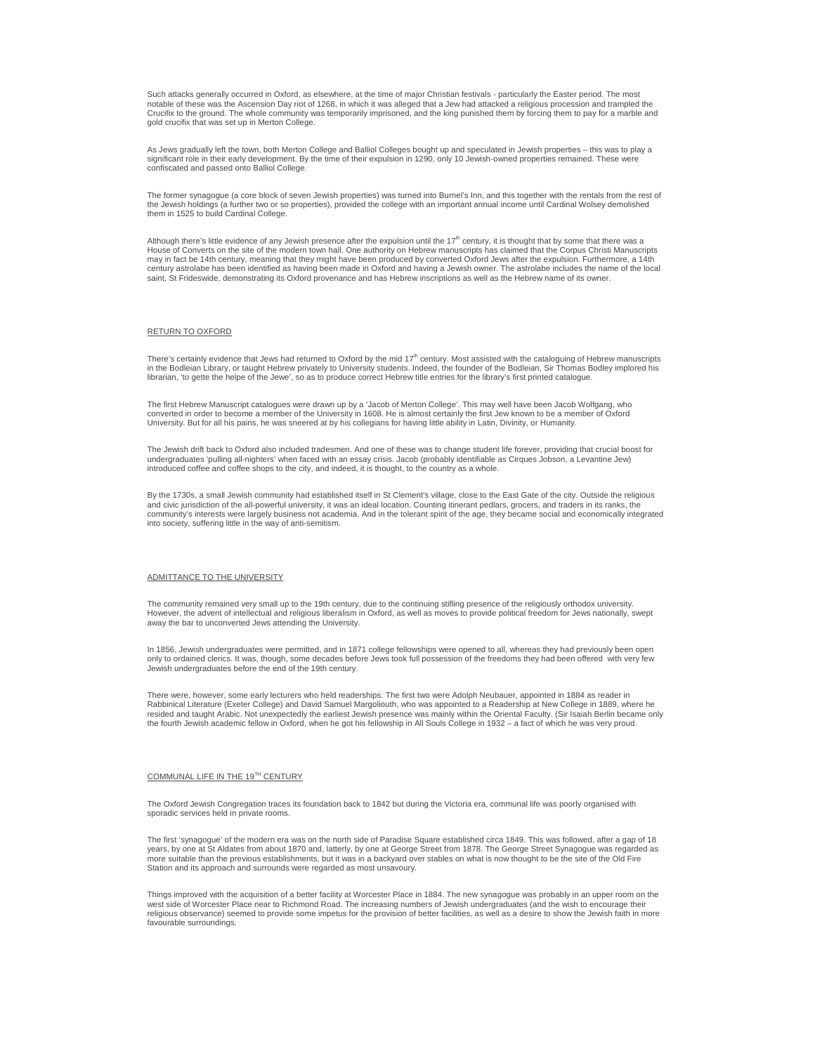Such attacks generally occurred in Oxford, as elsewhere, at the time of major Christian festivals - particularly the Easter period. The most notable of these was the Ascension Day riot of 1268, in which it was alleged that a Jew had attacked a religious procession and trampled the Crucifix to the ground. The whole community was temporarily imprisoned, and the king punished them by forcing them to pay for a marble and gold crucifix that was set up in Merton College.

As Jews gradually left the town, both Merton College and Balliol Colleges bought up and speculated in Jewish properties – this was to play a<br>significant role in their early development. By the time of their expulsion in 12 confiscated and passed onto Balliol College.

The former synagogue (a core block of seven Jewish properties) was turned into Burnel's Inn, and this together with the rentals from the rest of the Jewish holdings (a further two or so properties), provided the college with an important annual income until Cardinal Wolsey demolished them in 1525 to build Cardinal College.

Although there's little evidence of any Jewish presence after the expulsion until the  $17<sup>th</sup>$  century, it is thought that by some that there was a House of Converts on the site of the modern town hall. One authority on Hebrew manuscripts has claimed that the Corpus Christi Manuscripts may in fact be 14th century, meaning that they might have been produced by converted Oxford Jews after the expulsion. Furthermore, a 14th century astrolabe has been identified as having been made in Oxford and having a Jewish owner. The astrolabe includes the name of the local saint, St Frideswide, demonstrating its Oxford provenance and has Hebrew inscriptions as well as the Hebrew name of its owner.

# RETURN TO OXFORD

There's certainly evidence that Jews had returned to Oxford by the mid 17<sup>th</sup> century. Most assisted with the cataloguing of Hebrew manuscripts in the Bodleian Library, or taught Hebrew privately to University students. Indeed, the founder of the Bodleian, Sir Thomas Bodley implored his librarian, 'to gette the helpe of the Jewe', so as to produce correct Hebrew title entries for the library's first printed catalogue.

The first Hebrew Manuscript catalogues were drawn up by a 'Jacob of Merton College'. This may well have been Jacob Wolfgang, who converted in order to become a member of the University in 1608. He is almost certainly the first Jew known to be a member of Oxford University. But for all his pains, he was sneered at by his collegians for having little ability in Latin, Divinity, or Humanity.

The Jewish drift back to Oxford also included tradesmen. And one of these was to change student life forever, providing that crucial boost for undergraduates 'pulling all-nighters' when faced with an essay crisis. Jacob (probably identifiable as Cirques Jobson, a Levantine Jew) introduced coffee and coffee shops to the city, and indeed, it is thought, to the country as a whole.

By the 1730s, a small Jewish community had established itself in St Clement's village, close to the East Gate of the city. Outside the religious and civic jurisdiction of the all-powerful university, it was an ideal location. Counting itinerant pedlars, grocers, and traders in its ranks, the<br>community's interests were largely business not academia. And in the toler into society, suffering little in the way of anti-semitism.

### ADMITTANCE TO THE UNIVERSITY

The community remained very small up to the 19th century, due to the continuing stifling presence of the religiously orthodox university. However, the advent of intellectual and religious liberalism in Oxford, as well as moves to provide political freedom for Jews nationally, swept away the bar to unconverted Jews attending the University.

In 1856, Jewish undergraduates were permitted, and in 1871 college fellowships were opened to all, whereas they had previously been open only to ordained clerics. It was, though, some decades before Jews took full possession of the freedoms they had been offered with very few Jewish undergraduates before the end of the 19th century.

There were, however, some early lecturers who held readerships. The first two were Adolph Neubauer, appointed in 1884 as reader in Rabbinical Literature (Exeter College) and David Samuel Margoliouth, who was appointed to a Readership at New College in 1889, where he resided and taught Arabic. Not unexpectedly the earliest Jewish presence was mainly within the Oriental Faculty. (Sir Isaiah Berlin became only<br>the fourth Jewish academic fellow in Oxford, when he got his fellowship in All

### COMMUNAL LIFE IN THE 19<sup>TH</sup> CENTURY

The Oxford Jewish Congregation traces its foundation back to 1842 but during the Victoria era, communal life was poorly organised with sporadic services held in private rooms.

The first 'synagogue' of the modern era was on the north side of Paradise Square established circa 1849. This was followed, after a gap of 18 years, by one at St Aldates from about 1870 and, latterly, by one at George Street from 1878. The George Street Synagogue was regarded as more suitable than the previous establishments, but it was in a backyard over stables on what is now thought to be the site of the Old Fire Station and its approach and surrounds were regarded as most unsavoury.

Things improved with the acquisition of a better facility at Worcester Place in 1884. The new synagogue was probably in an upper room on the west side of Worcester Place near to Richmond Road. The increasing numbers of Jewish undergraduates (and the wish to encourage their<br>religious observance) seemed to provide some impetus for the provision of better faciliti favourable surroundings.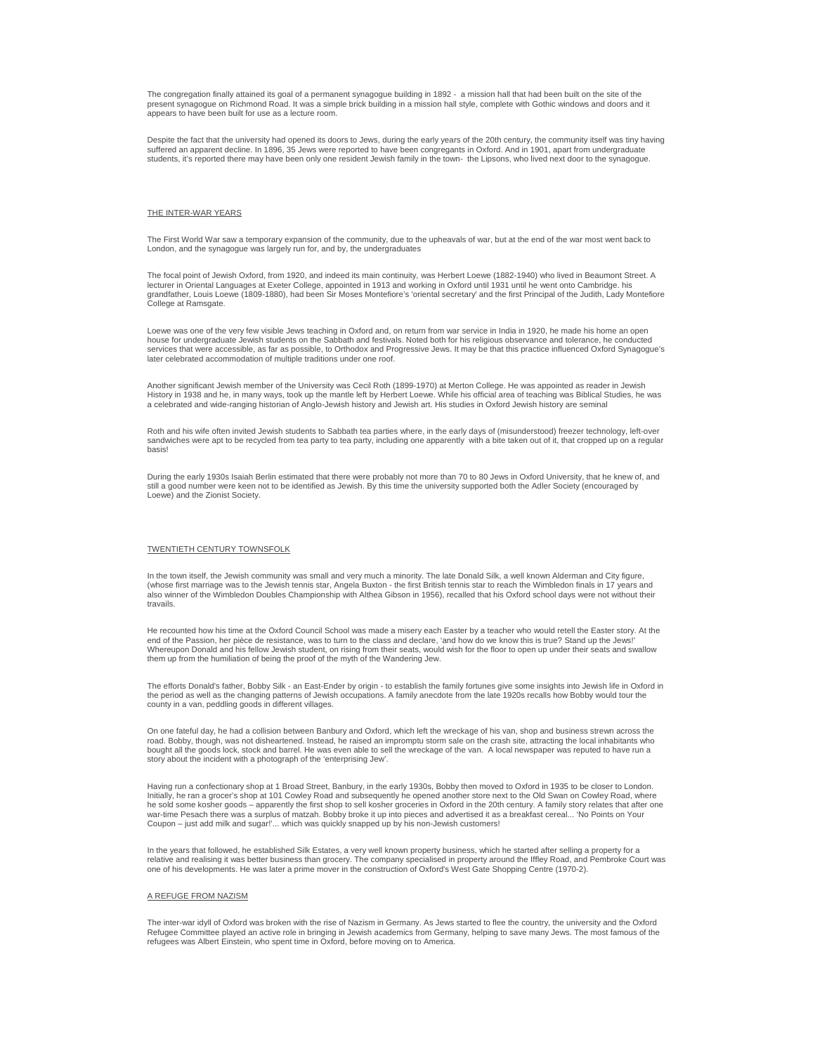The congregation finally attained its goal of a permanent synagogue building in 1892 - a mission hall that had been built on the site of the present synagogue on Richmond Road. It was a simple brick building in a mission hall style, complete with Gothic windows and doors and it appears to have been built for use as a lecture room.

Despite the fact that the university had opened its doors to Jews, during the early years of the 20th century, the community itself was tiny having suffered an apparent decline. In 1896, 35 Jews were reported to have been congregants in Oxford. And in 1901, apart from undergraduate<br>students, it's reported there may have been only one resident Jewish family in the town

# THE INTER-WAR YEARS

The First World War saw a temporary expansion of the community, due to the upheavals of war, but at the end of the war most went back to London, and the synagogue was largely run for, and by, the undergraduates

The focal point of Jewish Oxford, from 1920, and indeed its main continuity, was Herbert Loewe (1882-1940) who lived in Beaumont Street. A lecturer in Oriental Languages at Exeter College, appointed in 1913 and working in Oxford until 1931 until he went onto Cambridge. his grandfather, Louis Loewe (1809-1880), had been Sir Moses Montefiore's 'oriental secretary' and the first Principal of the Judith, Lady Montefiore College at Ramsgate.

Loewe was one of the very few visible Jews teaching in Oxford and, on return from war service in India in 1920, he made his home an open house for undergraduate Jewish students on the Sabbath and festivals. Noted both for his religious observance and tolerance, he conducted<br>services that were accessible, as far as possible, to Orthodox and Progressive Jews. later celebrated accommodation of multiple traditions under one roof.

Another significant Jewish member of the University was Cecil Roth (1899-1970) at Merton College. He was appointed as reader in Jewish History in 1938 and he, in many ways, took up the mantle left by Herbert Loewe. While his official area of teaching was Biblical Studies, he was<br>a celebrated and wide-ranging historian of Anglo-Jewish history and Jewish ar

Roth and his wife often invited Jewish students to Sabbath tea parties where, in the early days of (misunderstood) freezer technology, left-over sandwiches were apt to be recycled from tea party to tea party, including one apparently with a bite taken out of it, that cropped up on a regular basis!

During the early 1930s Isaiah Berlin estimated that there were probably not more than 70 to 80 Jews in Oxford University, that he knew of, and still a good number were keen not to be identified as Jewish. By this time the university supported both the Adler Society (encouraged by Loewe) and the Zionist Society.

## TWENTIETH CENTURY TOWNSFOLK

In the town itself, the Jewish community was small and very much a minority. The late Donald Silk, a well known Alderman and City figure, (whose first marriage was to the Jewish tennis star, Angela Buxton - the first British tennis star to reach the Wimbledon finals in 17 years and<br>also winner of the Wimbledon Doubles Championship with Althea Gibson in 1956) travails.

He recounted how his time at the Oxford Council School was made a misery each Easter by a teacher who would retell the Easter story. At the end of the Passion, her pièce de resistance, was to turn to the class and declare, 'and how do we know this is true? Stand up the Jews!'<br>Whereupon Donald and his fellow Jewish student, on rising from their seats, would wis them up from the humiliation of being the proof of the myth of the Wandering Jew.

The efforts Donald's father, Bobby Silk - an East-Ender by origin - to establish the family fortunes give some insights into Jewish life in Oxford in the period as well as the changing patterns of Jewish occupations. A family anecdote from the late 1920s recalls how Bobby would tour the county in a van, peddling goods in different villages.

On one fateful day, he had a collision between Banbury and Oxford, which left the wreckage of his van, shop and business strewn across the road. Bobby, though, was not disheartened. Instead, he raised an impromptu storm sale on the crash site, attracting the local inhabitants who bought all the goods lock, stock and barrel. He was even able to sell the wreckage of the van. A local newspaper was reputed to have run a story about the incident with a photograph of the 'enterprising Jew'.

Having run a confectionary shop at 1 Broad Street, Banbury, in the early 1930s, Bobby then moved to Oxford in 1935 to be closer to London. Initially, he ran a grocer's shop at 101 Cowley Road and subsequently he opened another store next to the Old Swan on Cowley Road, where<br>he sold some kosher goods – apparently the first shop to sell kosher groceries in Oxf war-time Pesach there was a surplus of matzah. Bobby broke it up into pieces and advertised it as a breakfast cereal... 'No Points on Your Coupon – just add milk and sugar!'... which was quickly snapped up by his non-Jewish customers!

In the years that followed, he established Silk Estates, a very well known property business, which he started after selling a property for a relative and realising it was better business than grocery. The company specialised in property around the Iffley Road, and Pembroke Court was one of his developments. He was later a prime mover in the construction of Oxford's West Gate Shopping Centre (1970-2).

#### A REFUGE FROM NAZISM

The inter-war idyll of Oxford was broken with the rise of Nazism in Germany. As Jews started to flee the country, the university and the Oxford Refugee Committee played an active role in bringing in Jewish academics from Germany, helping to save many Jews. The most famous of the<br>refugees was Albert Einstein, who spent time in Oxford, before moving on to America.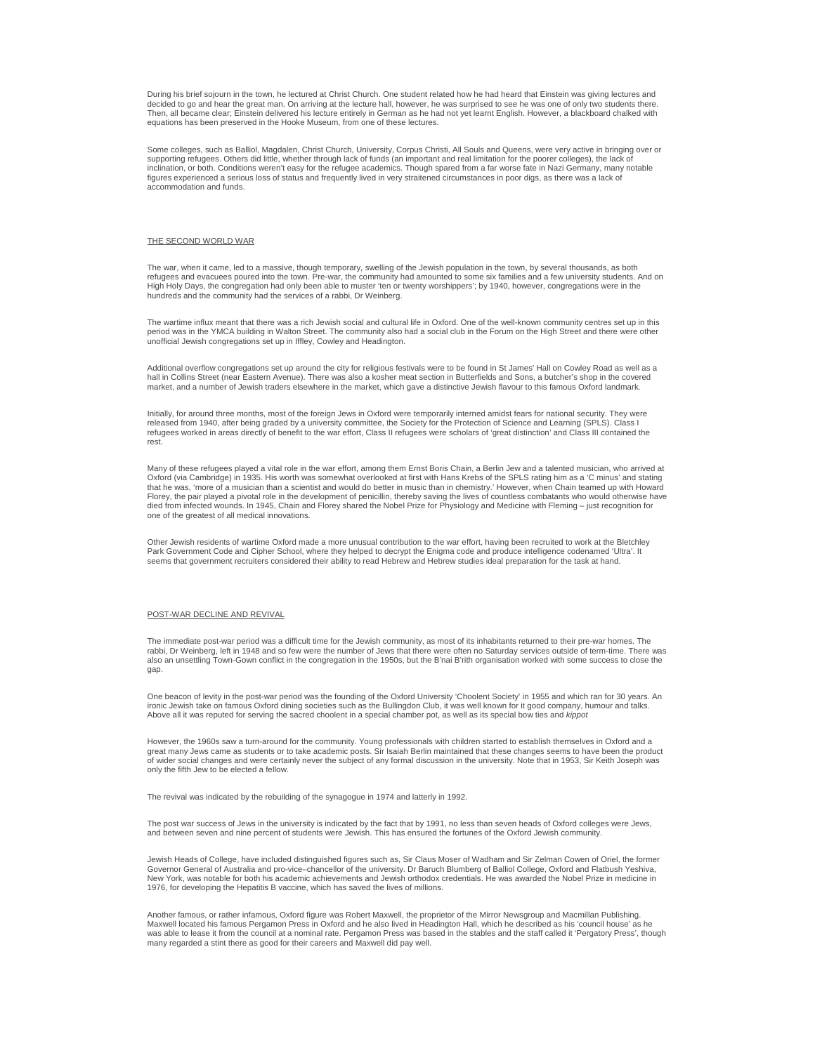During his brief sojourn in the town, he lectured at Christ Church. One student related how he had heard that Einstein was giving lectures and decided to go and hear the great man. On arriving at the lecture hall, however, he was surprised to see he was one of only two students there. Then, all became clear; Einstein delivered his lecture entirely in German as he had not yet learnt English. However, a blackboard chalked with equations has been preserved in the Hooke Museum, from one of these lectures.

Some colleges, such as Balliol, Magdalen, Christ Church, University, Corpus Christi, All Souls and Queens, were very active in bringing over or<br>supporting refugees. Others did little, whether through lack of funds (an impo inclination, or both. Conditions weren't easy for the refugee academics. Though spared from a far worse fate in Nazi Germany, many notable figures experienced a serious loss of status and frequently lived in very straitened circumstances in poor digs, as there was a lack of accommodation and funds.

# THE SECOND WORLD WAR

The war, when it came, led to a massive, though temporary, swelling of the Jewish population in the town, by several thousands, as both refugees and evacuees poured into the town. Pre-war, the community had amounted to some six families and a few university students. And on High Holy Days, the congregation had only been able to muster 'ten or twenty worshippers'; by 1940, however, congregations were in the hundreds and the community had the services of a rabbi, Dr Weinberg.

The wartime influx meant that there was a rich Jewish social and cultural life in Oxford. One of the well-known community centres set up in this period was in the YMCA building in Walton Street. The community also had a social club in the Forum on the High Street and there were other<br>unofficial Jewish congregations set up in Iffley, Cowley and Headington.

Additional overflow congregations set up around the city for religious festivals were to be found in St James' Hall on Cowley Road as well as a hall in Collins Street (near Eastern Avenue). There was also a kosher meat section in Butterfields and Sons, a butcher's shop in the covered market, and a number of Jewish traders elsewhere in the market, which gave a distinctive Jewish flavour to this famous Oxford landmark.

Initially, for around three months, most of the foreign Jews in Oxford were temporarily interned amidst fears for national security. They were released from 1940, after being graded by a university committee, the Society for the Protection of Science and Learning (SPLS). Class I<br>refugees worked in areas directly of benefit to the war effort, Class II refugees wer rest.

Many of these refugees played a vital role in the war effort, among them Ernst Boris Chain, a Berlin Jew and a talented musician, who arrived at<br>Oxford (via Cambridge) in 1935. His worth was somewhat overlooked at first wi that he was, 'more of a musician than a scientist and would do better in music than in chemistry.' However, when Chain teamed up with Howard Florey, the pair played a pivotal role in the development of penicillin, thereby saving the lives of countless combatants who would otherwise have died from infected wounds. In 1945, Chain and Florey shared the Nobel Prize for Physiology and Medicine with Fleming – just recognition for one of the greatest of all medical innovations.

Other Jewish residents of wartime Oxford made a more unusual contribution to the war effort, having been recruited to work at the Bletchley Park Government Code and Cipher School, where they helped to decrypt the Enigma code and produce intelligence codenamed 'Ultra'. It seems that government recruiters considered their ability to read Hebrew and Hebrew studies ideal preparation for the task at hand.

## POST-WAR DECLINE AND REVIVAL

The immediate post-war period was a difficult time for the Jewish community, as most of its inhabitants returned to their pre-war homes. The rabbi, Dr Weinberg, left in 1948 and so few were the number of Jews that there were often no Saturday services outside of term-time. There was also an unsettling Town-Gown conflict in the congregation in the 1950s, but the B'nai B'rith organisation worked with some success to close the gap.

One beacon of levity in the post-war period was the founding of the Oxford University 'Choolent Society' in 1955 and which ran for 30 years. An ironic Jewish take on famous Oxford dining societies such as the Bullingdon Club, it was well known for it good company, humour and talks. Above all it was reputed for serving the sacred choolent in a special chamber pot, as well as its special bow ties and kippot

However, the 1960s saw a turn-around for the community. Young professionals with children started to establish themselves in Oxford and a great many Jews came as students or to take academic posts. Sir Isaiah Berlin maintained that these changes seems to have been the product of wider social changes and were certainly never the subject of any formal discussion in the university. Note that in 1953, Sir Keith Joseph was only the fifth Jew to be elected a fellow.

The revival was indicated by the rebuilding of the synagogue in 1974 and latterly in 1992.

The post war success of Jews in the university is indicated by the fact that by 1991, no less than seven heads of Oxford colleges were Jews,<br>and between seven and nine percent of students were Jewish. This has ensured the

Jewish Heads of College, have included distinguished figures such as, Sir Claus Moser of Wadham and Sir Zelman Cowen of Oriel, the former Governor General of Australia and pro-vice–chancellor of the university. Dr Baruch Blumberg of Balliol College, Oxford and Flatbush Yeshiva, New York, was notable for both his academic achievements and Jewish orthodox credentials. He was awarded the Nobel Prize in medicine in 1976, for developing the Hepatitis B vaccine, which has saved the lives of millions.

Another famous, or rather infamous, Oxford figure was Robert Maxwell, the proprietor of the Mirror Newsgroup and Macmillan Publishing. Maxwell located his famous Pergamon Press in Oxford and he also lived in Headington Hall, which he described as his 'council house' as he was able to lease it from the council at a nominal rate. Pergamon Press was based in the stables and the staff called it 'Pergatory Press', though many regarded a stint there as good for their careers and Maxwell did pay well.